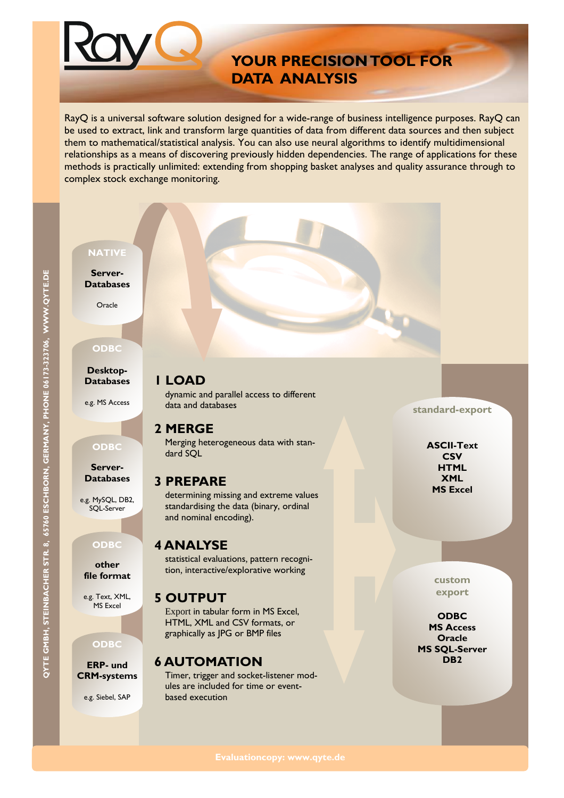## **YOUR PRECISION TOOL FOR DATA ANALYSIS**

RayQ is a universal software solution designed for a wide-range of business intelligence purposes. RayQ can be used to extract, link and transform large quantities of data from different data sources and then subject them to mathematical/statistical analysis. You can also use neural algorithms to identify multidimensional relationships as a means of discovering previously hidden dependencies. The range of applications for these methods is practically unlimited: extending from shopping basket analyses and quality assurance through to complex stock exchange monitoring.

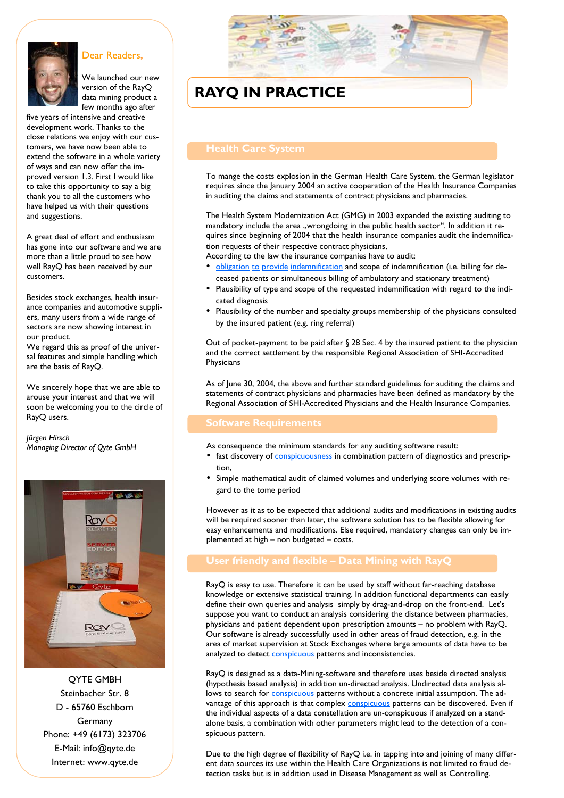

### Dear Readers**,**

We launched our new version of the RayQ data mining product a few months ago after

five years of intensive and creative development work. Thanks to the close relations we enjoy with our customers, we have now been able to extend the software in a whole variety of ways and can now offer the improved version 1.3. First I would like to take this opportunity to say a big thank you to all the customers who have helped us with their questions and suggestions.

A great deal of effort and enthusiasm has gone into our software and we are more than a little proud to see how well RayQ has been received by our customers.

Besides stock exchanges, health insurance companies and automotive suppliers, many users from a wide range of sectors are now showing interest in our product.

We regard this as proof of the universal features and simple handling which are the basis of RayQ.

We sincerely hope that we are able to arouse your interest and that we will soon be welcoming you to the circle of RayQ users.

*Jürgen Hirsch Managing Director of Qyte GmbH* 



QYTE GMBH Steinbacher Str. 8 D - 65760 Eschborn **Germany** Phone: +49 (6173) 323706 E-Mail: info@qyte.de Internet: www.qyte.de

# **RAYQ IN PRACTICE**

To mange the costs explosion in the German Health Care System, the German legislator requires since the January 2004 an active cooperation of the Health Insurance Companies in auditing the claims and statements of contract physicians and pharmacies.

The Health System Modernization Act (GMG) in 2003 expanded the existing auditing to mandatory include the area "wrongdoing in the public health sector". In addition it requires since beginning of 2004 that the health insurance companies audit the indemnification requests of their respective contract physicians.

According to the law the insurance companies have to audit:

- obligation to provide indemnification and scope of indemnification (i.e. billing for deceased patients or simultaneous billing of ambulatory and stationary treatment)
- Plausibility of type and scope of the requested indemnification with regard to the indicated diagnosis
- Plausibility of the number and specialty groups membership of the physicians consulted by the insured patient (e.g. ring referral)

Out of pocket-payment to be paid after § 28 Sec. 4 by the insured patient to the physician and the correct settlement by the responsible Regional Association of SHI-Accredited **Physicians** 

As of June 30, 2004, the above and further standard guidelines for auditing the claims and statements of contract physicians and pharmacies have been defined as mandatory by the Regional Association of SHI-Accredited Physicians and the Health Insurance Companies.

As consequence the minimum standards for any auditing software result:

- fast discovery of conspicuousness in combination pattern of diagnostics and prescription,
- Simple mathematical audit of claimed volumes and underlying score volumes with regard to the tome period

However as it as to be expected that additional audits and modifications in existing audits will be required sooner than later, the software solution has to be flexible allowing for easy enhancements and modifications. Else required, mandatory changes can only be implemented at high – non budgeted – costs.

### **User friendly and flexible – Data Mining with RayQ**

RayQ is easy to use. Therefore it can be used by staff without far-reaching database knowledge or extensive statistical training. In addition functional departments can easily define their own queries and analysis simply by drag-and-drop on the front-end. Let's suppose you want to conduct an analysis considering the distance between pharmacies, physicians and patient dependent upon prescription amounts – no problem with RayQ. Our software is already successfully used in other areas of fraud detection, e.g. in the area of market supervision at Stock Exchanges where large amounts of data have to be analyzed to detect **conspicuous** patterns and inconsistencies.

RayQ is designed as a data-Mining-software and therefore uses beside directed analysis (hypothesis based analysis) in addition un-directed analysis. Undirected data analysis allows to search for conspicuous patterns without a concrete initial assumption. The advantage of this approach is that complex **conspicuous** patterns can be discovered. Even if the individual aspects of a data constellation are un-conspicuous if analyzed on a standalone basis, a combination with other parameters might lead to the detection of a conspicuous pattern.

Due to the high degree of flexibility of RayQ i.e. in tapping into and joining of many different data sources its use within the Health Care Organizations is not limited to fraud detection tasks but is in addition used in Disease Management as well as Controlling.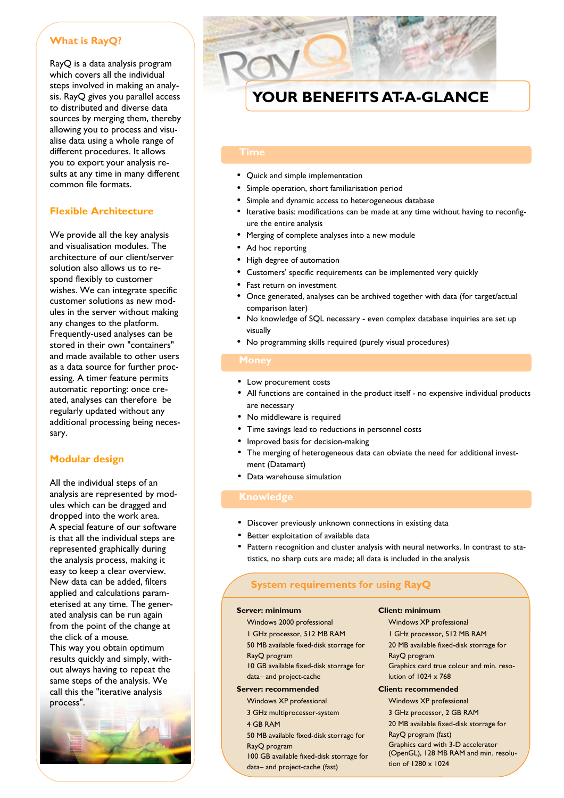### **What is RayQ?**

RayQ is a data analysis program which covers all the individual steps involved in making an analysis. RayQ gives you parallel access to distributed and diverse data sources by merging them, thereby allowing you to process and visualise data using a whole range of different procedures. It allows you to export your analysis results at any time in many different common file formats.

### **Flexible Architecture**

We provide all the key analysis and visualisation modules. The architecture of our client/server solution also allows us to respond flexibly to customer wishes. We can integrate specific customer solutions as new modules in the server without making any changes to the platform. Frequently-used analyses can be stored in their own "containers" and made available to other users as a data source for further processing. A timer feature permits automatic reporting: once created, analyses can therefore be regularly updated without any additional processing being necessary.

### **Modular design**

All the individual steps of an analysis are represented by modules which can be dragged and dropped into the work area. A special feature of our software is that all the individual steps are represented graphically during the analysis process, making it easy to keep a clear overview. New data can be added, filters applied and calculations parameterised at any time. The generated analysis can be run again from the point of the change at the click of a mouse. This way you obtain optimum results quickly and simply, without always having to repeat the same steps of the analysis. We call this the "iterative analysis process".



## **YOUR BENEFITS AT-A-GLANCE**

- Ouick and simple implementation
- Simple operation, short familiarisation period
- Simple and dynamic access to heterogeneous database
- Iterative basis: modifications can be made at any time without having to reconfigure the entire analysis
- Merging of complete analyses into a new module
- Ad hoc reporting
- High degree of automation
- Customers' specific requirements can be implemented very quickly
- Fast return on investment
- Once generated, analyses can be archived together with data (for target/actual comparison later)
- No knowledge of SQL necessary even complex database inquiries are set up visually
- No programming skills required (purely visual procedures)

#### **Money**

- Low procurement costs
- All functions are contained in the product itself no expensive individual products are necessary
- No middleware is required
- Time savings lead to reductions in personnel costs
- Improved basis for decision-making
- The merging of heterogeneous data can obviate the need for additional investment (Datamart)
- Data warehouse simulation

#### **Knowledge**

- Discover previously unknown connections in existing data
- Better exploitation of available data
- Pattern recognition and cluster analysis with neural networks. In contrast to statistics, no sharp cuts are made; all data is included in the analysis

### **System requirements for using RayQ**

#### **Server: minimum**

- Windows 2000 professional
- 1 GHz processor, 512 MB RAM
- 50 MB available fixed-disk storrage for
- RayQ program

 10 GB available fixed-disk storrage for data– and project-cache

#### **Server: recommended**

- Windows XP professional
- 3 GHz multiprocessor-system
- 4 GB RAM
- 50 MB available fixed-disk storrage for RayQ program
- 100 GB available fixed-disk storrage for data– and project-cache (fast)

#### **Client: minimum**

- Windows XP professional
- 1 GHz processor, 512 MB RAM
- 20 MB available fixed-disk storrage for
- RayQ program Graphics card true colour and min. resolution of 1024 x 768

#### **Client: recommended**

 Windows XP professional 3 GHz processor, 2 GB RAM

- 20 MB available fixed-disk storrage for
- RayQ program (fast)
- Graphics card with 3-D accelerator
- (OpenGL), 128 MB RAM and min. resolution of 1280 x 1024